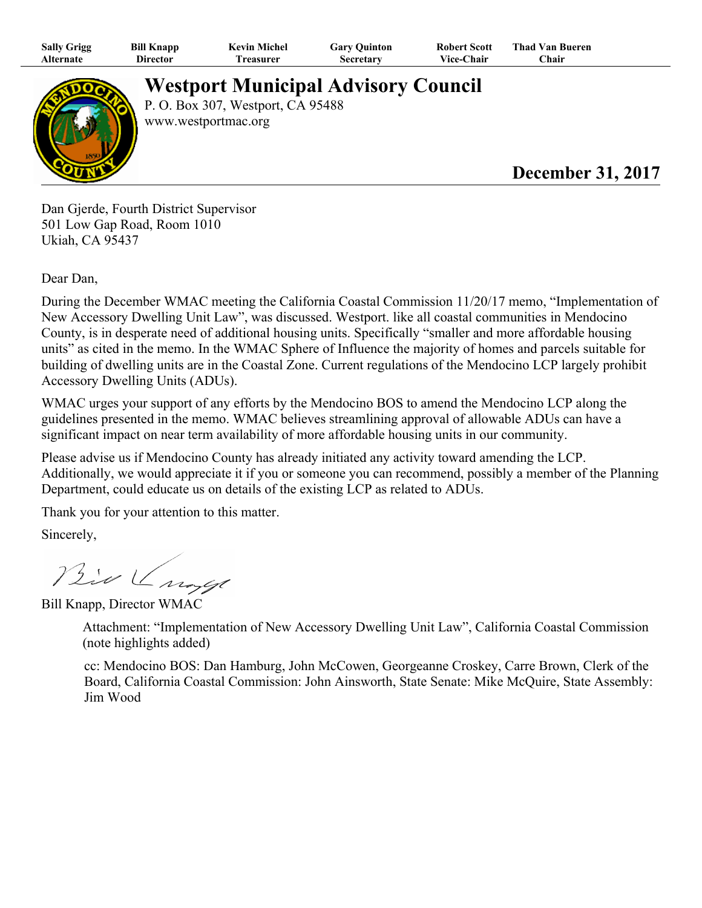| <b>Sally Grigg</b> | Bill Knapp | <b>Kevin Michel</b> | Gary Quinton | Robert Scott      | Thad Van Bueren |
|--------------------|------------|---------------------|--------------|-------------------|-----------------|
| Alternate          | Director   | reasurer            | Secretary    | <b>Vice-Chair</b> | ∑hair           |



**Westport Municipal Advisory Council**

P. O. Box 307, Westport, CA 95488 www.westportmac.org

## **December 31, 2017**

Dan Gjerde, Fourth District Supervisor 501 Low Gap Road, Room 1010 Ukiah, CA 95437

Dear Dan,

During the December WMAC meeting the California Coastal Commission 11/20/17 memo, "Implementation of New Accessory Dwelling Unit Law", was discussed. Westport. like all coastal communities in Mendocino County, is in desperate need of additional housing units. Specifically "smaller and more affordable housing units" as cited in the memo. In the WMAC Sphere of Influence the majority of homes and parcels suitable for building of dwelling units are in the Coastal Zone. Current regulations of the Mendocino LCP largely prohibit Accessory Dwelling Units (ADUs).

WMAC urges your support of any efforts by the Mendocino BOS to amend the Mendocino LCP along the guidelines presented in the memo. WMAC believes streamlining approval of allowable ADUs can have a significant impact on near term availability of more affordable housing units in our community.

Please advise us if Mendocino County has already initiated any activity toward amending the LCP. Additionally, we would appreciate it if you or someone you can recommend, possibly a member of the Planning Department, could educate us on details of the existing LCP as related to ADUs.

Thank you for your attention to this matter.

Sincerely,

Bio Ungel

Bill Knapp, Director WMAC

Attachment: "Implementation of New Accessory Dwelling Unit Law", California Coastal Commission (note highlights added)

cc: Mendocino BOS: Dan Hamburg, John McCowen, Georgeanne Croskey, Carre Brown, Clerk of the Board, California Coastal Commission: John Ainsworth, State Senate: Mike McQuire, State Assembly: Jim Wood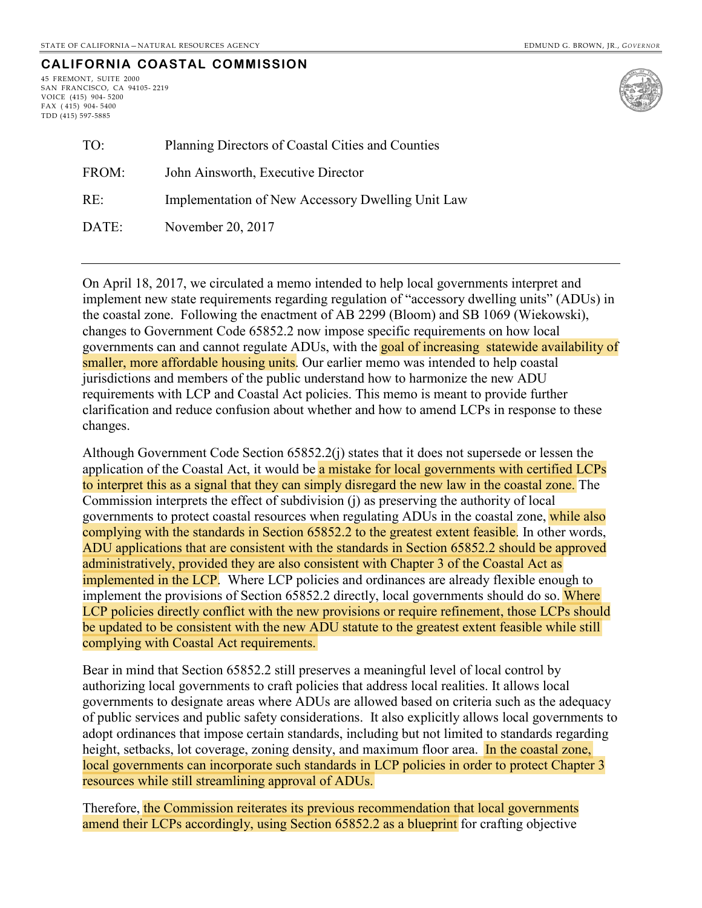## **CALIFORNIA COASTAL COMMISSION**

45 FREMONT, SUITE 2000 SAN FRANCISCO, CA 94105- 2219 VOICE (415) 904- 5200 FAX ( 415) 904- 5400 TDD (415) 597-5885



| TO:   | Planning Directors of Coastal Cities and Counties |  |
|-------|---------------------------------------------------|--|
| FROM: | John Ainsworth, Executive Director                |  |
| RE:   | Implementation of New Accessory Dwelling Unit Law |  |
| DATE: | November 20, 2017                                 |  |

On [April 18, 2017,](https://documents.coastal.ca.gov/assets/rflg/CCC_guidance_memo_re_ADUs.pdf) we circulated a memo intended to help local governments interpret and implement new state requirements regarding regulation of "accessory dwelling units" (ADUs) in the coastal zone. Following the enactment of AB 2299 (Bloom) and SB 1069 (Wiekowski), changes to Government Code 65852.2 now impose specific requirements on how local governments can and cannot regulate ADUs, with the goal of increasing statewide availability of smaller, more affordable housing units. Our earlier memo was intended to help coastal jurisdictions and members of the public understand how to harmonize the new ADU requirements with LCP and Coastal Act policies. This memo is meant to provide further clarification and reduce confusion about whether and how to amend LCPs in response to these changes.

Although Government Code Section 65852.2(j) states that it does not supersede or lessen the application of the Coastal Act, it would be a mistake for local governments with certified LCPs to interpret this as a signal that they can simply disregard the new law in the coastal zone. The Commission interprets the effect of subdivision (j) as preserving the authority of local governments to protect coastal resources when regulating ADUs in the coastal zone, while also complying with the standards in Section 65852.2 to the greatest extent feasible. In other words, ADU applications that are consistent with the standards in Section 65852.2 should be approved administratively, provided they are also consistent with Chapter 3 of the Coastal Act as implemented in the LCP. Where LCP policies and ordinances are already flexible enough to implement the provisions of Section 65852.2 directly, local governments should do so. Where LCP policies directly conflict with the new provisions or require refinement, those LCPs should be updated to be consistent with the new ADU statute to the greatest extent feasible while still complying with Coastal Act requirements.

Bear in mind that Section 65852.2 still preserves a meaningful level of local control by authorizing local governments to craft policies that address local realities. It allows local governments to designate areas where ADUs are allowed based on criteria such as the adequacy of public services and public safety considerations. It also explicitly allows local governments to adopt ordinances that impose certain standards, including but not limited to standards regarding height, setbacks, lot coverage, zoning density, and maximum floor area. In the coastal zone, local governments can incorporate such standards in LCP policies in order to protect Chapter 3 resources while still streamlining approval of ADUs.

Therefore, the Commission reiterates its previous recommendation that local governments amend their LCPs accordingly, using Section 65852.2 as a blueprint for crafting objective